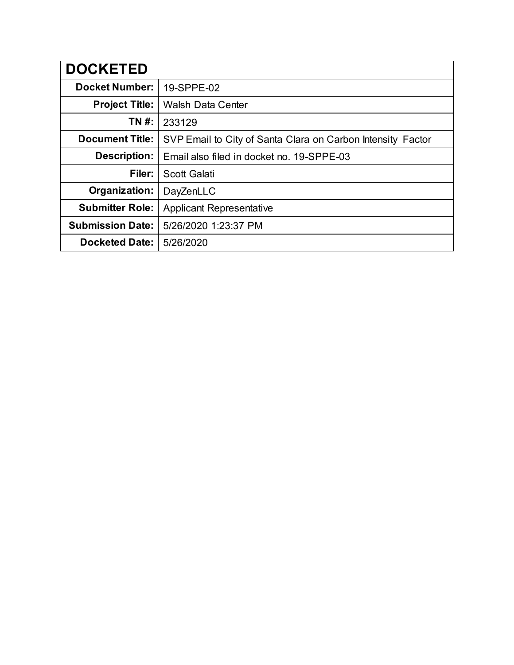| <b>DOCKETED</b>         |                                                             |  |  |  |  |  |  |
|-------------------------|-------------------------------------------------------------|--|--|--|--|--|--|
| <b>Docket Number:</b>   | 19-SPPE-02                                                  |  |  |  |  |  |  |
| <b>Project Title:</b>   | <b>Walsh Data Center</b>                                    |  |  |  |  |  |  |
| TN #:                   | 233129                                                      |  |  |  |  |  |  |
| <b>Document Title:</b>  | SVP Email to City of Santa Clara on Carbon Intensity Factor |  |  |  |  |  |  |
| Description:            | Email also filed in docket no. 19-SPPE-03                   |  |  |  |  |  |  |
| Filer:                  | <b>Scott Galati</b>                                         |  |  |  |  |  |  |
| Organization:           | DayZenLLC                                                   |  |  |  |  |  |  |
| <b>Submitter Role:</b>  | <b>Applicant Representative</b>                             |  |  |  |  |  |  |
| <b>Submission Date:</b> | 5/26/2020 1:23:37 PM                                        |  |  |  |  |  |  |
| <b>Docketed Date:</b>   | 5/26/2020                                                   |  |  |  |  |  |  |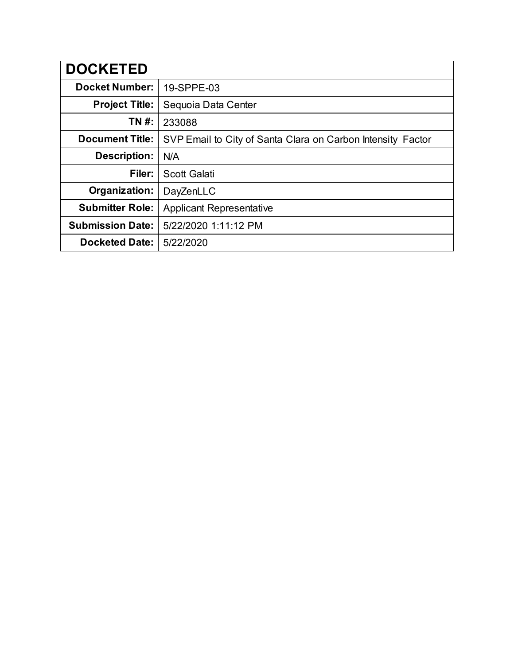| <b>DOCKETED</b>         |                                                             |  |  |  |  |  |  |
|-------------------------|-------------------------------------------------------------|--|--|--|--|--|--|
| <b>Docket Number:</b>   | 19-SPPE-03                                                  |  |  |  |  |  |  |
| <b>Project Title:</b>   | Sequoia Data Center                                         |  |  |  |  |  |  |
| TN #:                   | 233088                                                      |  |  |  |  |  |  |
| <b>Document Title:</b>  | SVP Email to City of Santa Clara on Carbon Intensity Factor |  |  |  |  |  |  |
| <b>Description:</b>     | N/A                                                         |  |  |  |  |  |  |
| Filer:                  | <b>Scott Galati</b>                                         |  |  |  |  |  |  |
| Organization:           | DayZenLLC                                                   |  |  |  |  |  |  |
| <b>Submitter Role:</b>  | <b>Applicant Representative</b>                             |  |  |  |  |  |  |
| <b>Submission Date:</b> | 5/22/2020 1:11:12 PM                                        |  |  |  |  |  |  |
| <b>Docketed Date:</b>   | 5/22/2020                                                   |  |  |  |  |  |  |